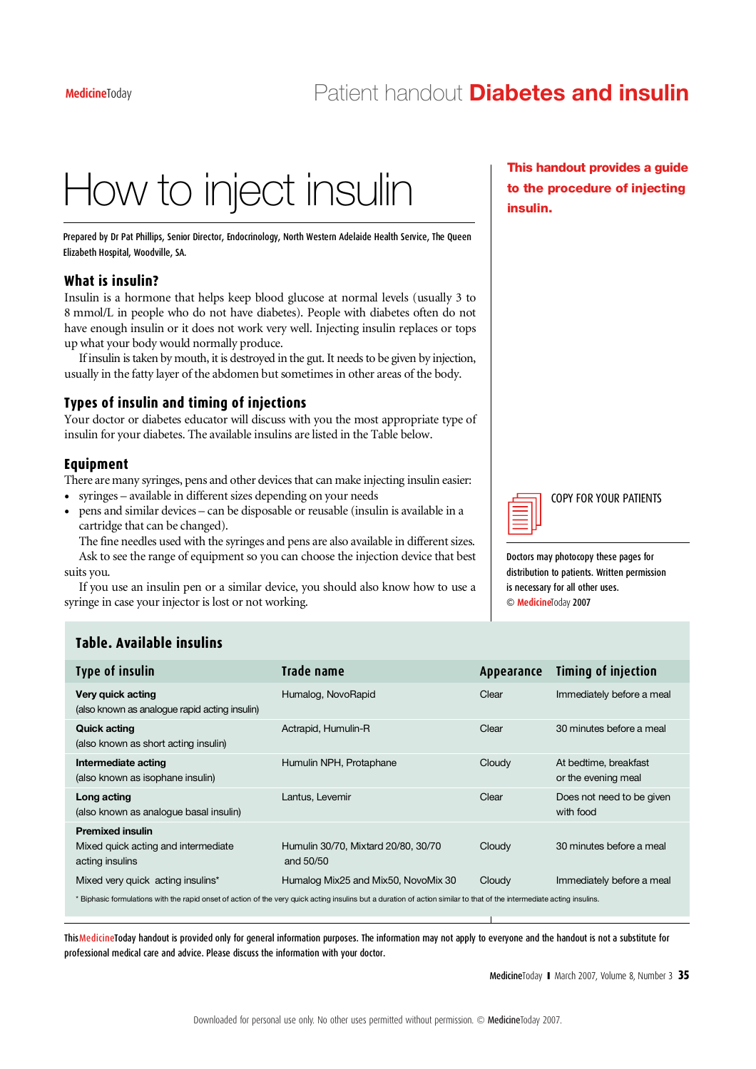# How to inject insulin

Prepared by Dr Pat Phillips, Senior Director, Endocrinology, North Western Adelaide Health Service, The Queen Elizabeth Hospital, Woodville, SA.

### **What is insulin?**

Insulin is a hormone that helps keep blood glucose at normal levels (usually 3 to 8 mmol/L in people who do not have diabetes). People with diabetes often do not have enough insulin or it does not work very well. Injecting insulin replaces or tops up what your body would normally produce.

If insulin is taken by mouth, it is destroyed in the gut. It needs to be given by injection, usually in the fatty layer of the abdomen butsometimes in other areas of the body.

#### **Types of insulin and timing of injections**

Your doctor or diabetes educator will discuss with you the most appropriate type of insulin for your diabetes. The available insulins are listed in the Table below.

### **Equipment**

There are many syringes, pens and other devices that can make injecting insulin easier:

- syringes available in different sizes depending on your needs
- pens and similar devices can be disposable or reusable (insulin is available in a cartridge that can be changed).

The fine needles used with the syringes and pens are also available in different sizes. Ask to see the range of equipment so you can choose the injection device that best suits you.

If you use an insulin pen or a similar device, you should also know how to use a syringe in case your injector is lost or not working.

This handout provides a guide to the procedure of injecting insulin.



COPY FOR YOUR PATIENTS

Doctors may photocopy these pages for distribution to patients. Written permission is necessary for all other uses.  $©$  **Medicine**Today 2007

# **Table. Available insulins**

| <b>Type of insulin</b>                                                                                                                                                 | Trade name                                       | Appearance | <b>Timing of injection</b>                   |  |
|------------------------------------------------------------------------------------------------------------------------------------------------------------------------|--------------------------------------------------|------------|----------------------------------------------|--|
| Very quick acting<br>(also known as analogue rapid acting insulin)                                                                                                     | Humalog, NovoRapid                               | Clear      | Immediately before a meal                    |  |
| <b>Quick acting</b><br>(also known as short acting insulin)                                                                                                            | Actrapid, Humulin-R                              | Clear      | 30 minutes before a meal                     |  |
| Intermediate acting<br>(also known as isophane insulin)                                                                                                                | Humulin NPH, Protaphane                          | Cloudy     | At bedtime, breakfast<br>or the evening meal |  |
| Long acting<br>(also known as analogue basal insulin)                                                                                                                  | Lantus, Levemir                                  | Clear      | Does not need to be given<br>with food       |  |
| <b>Premixed insulin</b><br>Mixed quick acting and intermediate<br>acting insulins                                                                                      | Humulin 30/70, Mixtard 20/80, 30/70<br>and 50/50 | Cloudy     | 30 minutes before a meal                     |  |
| Mixed very quick acting insulins*                                                                                                                                      | Humalog Mix25 and Mix50, NovoMix 30              | Cloudy     | Immediately before a meal                    |  |
| * Biphasic formulations with the rapid onset of action of the very quick acting insulins but a duration of action similar to that of the intermediate acting insulins. |                                                  |            |                                              |  |

.<br>ThisMedicineToday handout is provided only for general information purposes. The information may not apply to everyone and the handout is not a substitute for professional medical care and advice. Please discuss the information with your doctor.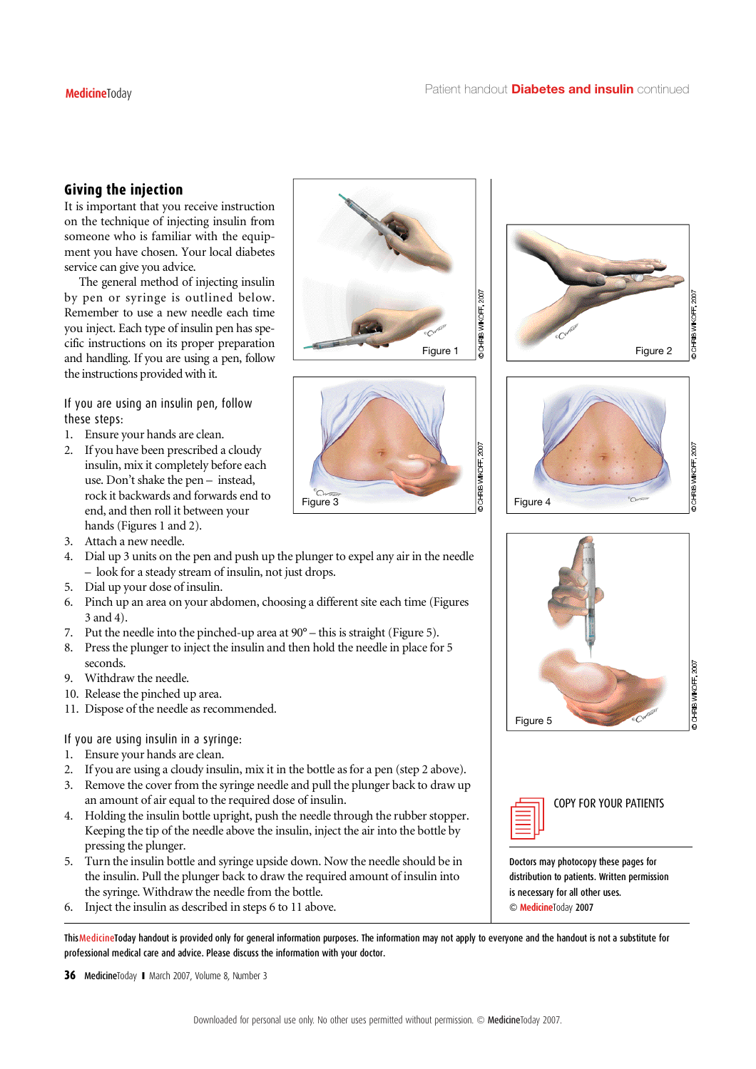# **Giving the injection**

It is important that you receive instruction on the technique of injecting insulin from someone who is familiar with the equipment you have chosen. Your local diabetes service can give you advice.

The general method of injecting insulin by pen or syringe is outlined below. Remember to use a new needle each time you inject. Each type of insulin pen has specific instructions on its proper preparation and handling. If you are using a pen, follow the instructions provided with it.

If you are using an insulin pen, follow these steps:

- 1. Ensure your hands are clean.
- 2. If you have been prescribed a cloudy insulin, mix it completely before each use. Don't shake the pen – instead, rock it backwards and forwards end to end, and then roll it between your hands (Figures 1 and 2).
- 3. Attach a new needle.
- 4. Dial up 3 units on the pen and push up the plunger to expel any air in the needle – look for a steady stream of insulin, not just drops.
- 5 . Dial up your dose of insulin.
- 6 . Pinch up an area on your abdomen, choosing a different site each time (Figures 3 and 4).
- 7 . Put the needle into the pinched-up area at 90° this is straight (Figure 5).
- 8 . Pressthe plunger to inject the insulin and then hold the needle in place for 5 seconds.
- 9. Withdraw the needle.
- 10. Release the pinched up area.
- 11. Dispose of the needle as recommended.

If you are using insulin in a syringe:

- 1. Ensure your hands are clean.
- 2. If you are using a cloudy insulin, mix it in the bottle as for a pen (step 2 above).
- 3 . Remove the cover from the syringe needle and pull the plunger back to draw up an amount of air equal to the required dose of insulin.
- 4 . Holding the insulin bottle upright, push the needle through the rubber stopper. Keeping the tip of the needle above the insulin, inject the air into the bottle by  $\Box$ pressing the plunger.
- 5 . Turn the insulin bottle and syringe upside down. Now the needle should be in the insulin. Pull the plunger back to draw the required amount of insulin into the syringe. Withdraw the needle from the bottle.
- 6 . Inject the insulin as described in steps 6 to 11 above.

.<br>ThisMedicineToday handout is provided only for general information purposes. The information may not apply to everyone and the handout is not a substitute for professional medical care and advice. Please discuss the information with your doctor.

**36** Medicine Today I March 2007, Volume 8, Number 3













COPY FOR YOUR PATIENTS

Doctors may photocopy these pages for distribution to patients. Written permission is necessary for all other uses.  $©$  **Medicine**Today 2007